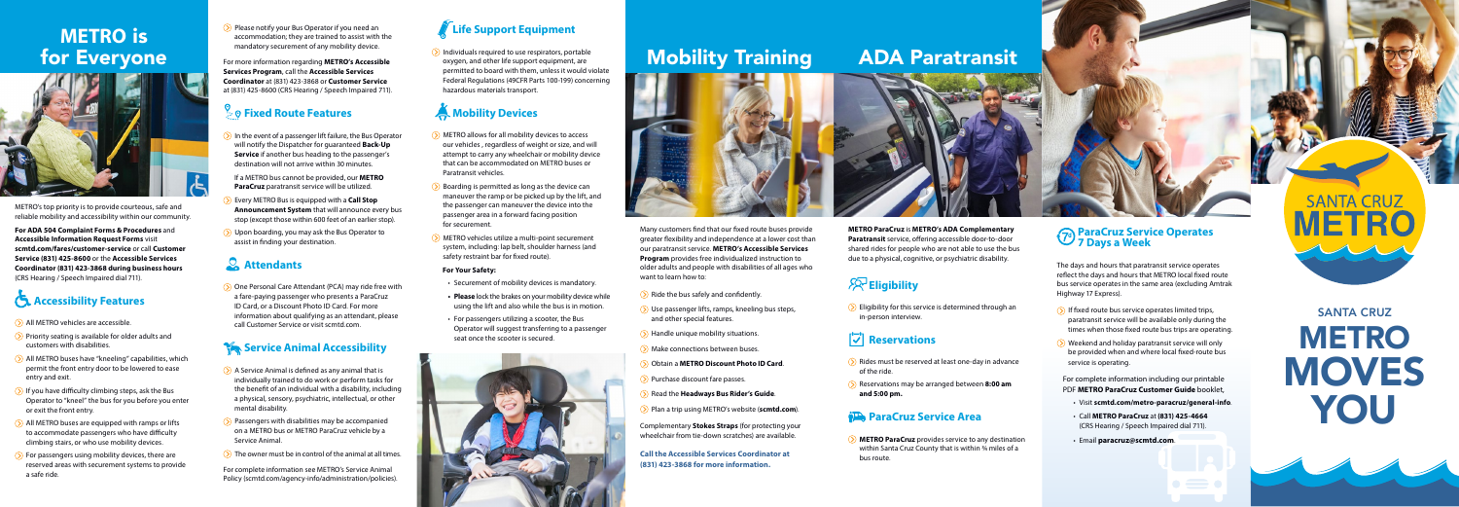SANTA CRUZ **METRO MOVES** YOU

# Mobility Training ADA Paratransit

METRO's top priority is to provide courteous, safe and reliable mobility and accessibility within our community.

**For ADA 504 Complaint Forms & Procedures** and **Accessible Information Request Forms** visit **[scmtd.com/fares/customer-service](http://scmtd.com/en/fares/customer-service)** or call **Customer Service (831) 425-8600** or the **Accessible Services Coordinator (831) 423-3868 during business hours** (CRS Hearing / Speech Impaired dial 711).

# **Accessibility Features**

- All METRO vehicles are accessible.
- $\sum$  Priority seating is available for older adults and customers with disabilities.
- All METRO buses have "kneeling" capabilities, which permit the front entry door to be lowered to ease entry and exit.
- $\odot$  If you have difficulty climbing steps, ask the Bus Operator to "kneel" the bus for you before you enter or exit the front entry.
- All METRO buses are equipped with ramps or lifts to accommodate passengers who have difficulty climbing stairs, or who use mobility devices.
- $\sum$  For passengers using mobility devices, there are reserved areas with securement systems to provide a safe ride.

 $\Diamond$  Please notify your Bus Operator if you need an accommodation; they are trained to assist with the mandatory securement of any mobility device.

- In the event of a passenger lift failure, the Bus Operator will notify the Dispatcher for guaranteed **Back-Up Service** if another bus heading to the passenger's destination will not arrive within 30 minutes.
- If a METRO bus cannot be provided, our **METRO ParaCruz** paratransit service will be utilized.
- Every METRO Bus is equipped with a **Call Stop Announcement System** that will announce every bus stop (except those within 600 feet of an earlier stop).
- $\sum$  Upon boarding, you may ask the Bus Operator to assist in finding your destination.

## **Attendants**

For more information regarding **METRO's Accessible Services Program**, call the **Accessible Services Coordinator** at (831) 423-3868 or **Customer Service** at (831) 425-8600 (CRS Hearing / Speech Impaired 711).

## $\geq$ **© Fixed Route Features**

 $\sum$  Individuals required to use respirators, portable oxygen, and other life support equipment, are permitted to board with them, unless it would violate Federal Regulations (49CFR Parts 100-199) concerning hazardous materials transport.

# **A. Mobility Devices**

- **METRO allows for all mobility devices to access** our vehicles , regardless of weight or size, and will attempt to carry any wheelchair or mobility device that can be accommodated on METRO buses or Paratransit vehicles.
- $\Diamond$  Boarding is permitted as long as the device can maneuver the ramp or be picked up by the lift, and the passenger can maneuver the device into the passenger area in a forward facing position for securement.
- **>**) METRO vehicles utilize a multi-point securement system, including: lap belt, shoulder harness (and safety restraint bar for fixed route).

 $\Diamond$  Eligibility for this service is determined through an in-person interview.

## **Reservations**

 One Personal Care Attendant (PCA) may ride free with a fare-paying passenger who presents a ParaCruz ID Card, or a Discount Photo ID Card. For more information about qualifying as an attendant, please call Customer Service or visit [scmtd.com.](http://scmtd.com)

## **Service Animal Accessibility**

- $\Diamond$  A Service Animal is defined as any animal that is individually trained to do work or perform tasks for the benefit of an individual with a disability, including a physical, sensory, psychiatric, intellectual, or other mental disability.
- $\odot$  Passengers with disabilities may be accompanied on a METRO bus or METRO ParaCruz vehicle by a Service Animal.
- $\Diamond$  The owner must be in control of the animal at all times.
- $\Diamond$  Rides must be reserved at least one-day in advance of the ride.
- Reservations may be arranged between **8:00 am and 5:00 pm.**

## **ParaCruz Service Area**

- $\Diamond$  Ride the bus safely and confidently.
- $\Diamond$  Use passenger lifts, ramps, kneeling bus steps, and other special features.
- $\odot$  Handle unique mobility situations.
- $\odot$  Make connections between buses.
- Obtain a **METRO Discount Photo ID Card**.
- $\Diamond$  Purchase discount fare passes.
- Read the **Headways Bus Rider's Guide**.
- Plan a trip using METRO's website (**[scmtd.com](http://scmtd.com/en)**).

For complete information see METRO's Service Animal Policy ([scmtd.com/agency-info/administration/policies](http://scmtd.com/en/agency-info/administration/policies)).

# **Life Support Equipment**

- $\odot$  If fixed route bus service operates limited trips, paratransit service will be available only during the times when those fixed route bus trips are operating.
- Weekend and holiday paratransit service will only be provided when and where local fixed-route bus service is operating.

#### **For Your Safety:**

- Securement of mobility devices is mandatory.
- **• Please** lock the brakes on your mobility device while using the lift and also while the bus is in motion.
- For passengers utilizing a scooter, the Bus Operator will suggest transferring to a passenger seat once the scooter is secured.





**METRO ParaCruz** is **METRO's ADA Complementary Paratransit** service, offering accessible door-to-door shared rides for people who are not able to use the bus due to a physical, cognitive, or psychiatric disability.

## **Eligibility**

 **METRO ParaCruz** provides service to any destination within Santa Cruz County that is within ¾ miles of a bus route.

Many customers find that our fixed route buses provide greater flexibility and independence at a lower cost than our paratransit service. **METRO's Accessible Services Program** provides free individualized instruction to older adults and people with disabilities of all ages who want to learn how to:

Complementary **Stokes Straps** (for protecting your wheelchair from tie-down scratches) are available.

**Call the Accessible Services Coordinator at (831) 423-3868 for more information.**

# **METRO** is for Everyone



#### **ParaCruz Service Operates 7 Days a Week**

The days and hours that paratransit service operates reflect the days and hours that METRO local fixed route bus service operates in the same area (excluding Amtrak Highway 17 Express).

For complete information including our printable PDF **METRO ParaCruz Customer Guide** booklet,

- Visit **[scmtd.com/metro-paracruz/general-info](http://scmtd.com/en/metro-paracruz/general-info)**.
- Call **METRO ParaCruz** at **(831) 425-4664**  (CRS Hearing / Speech Impaired dial 711).
- Email **[paracruz@scmtd.com](mailto:paracruz@scmtd.com)**.

# **SANTA**